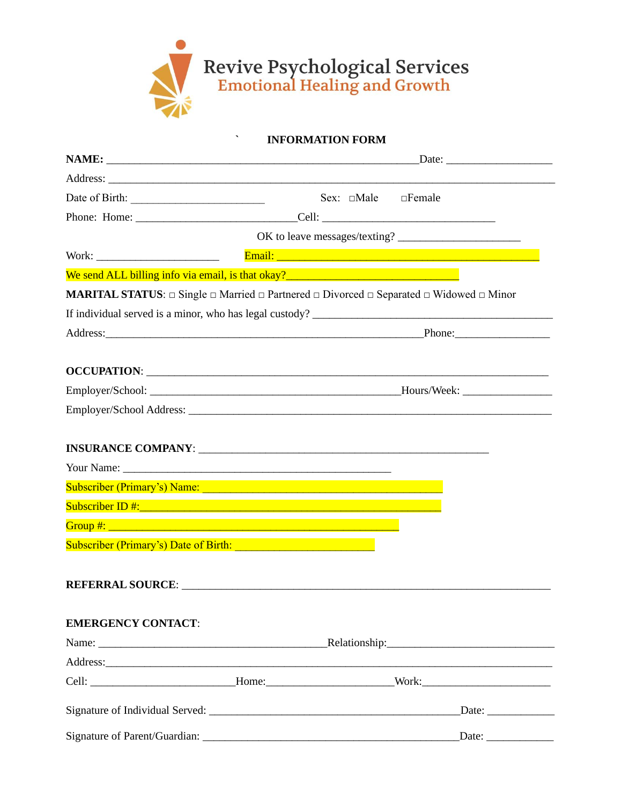

**INFORMATION FORM** 

|                                                                                                                |  | OK to leave messages/texting?                                                                                                                                                                                                  |
|----------------------------------------------------------------------------------------------------------------|--|--------------------------------------------------------------------------------------------------------------------------------------------------------------------------------------------------------------------------------|
|                                                                                                                |  |                                                                                                                                                                                                                                |
|                                                                                                                |  |                                                                                                                                                                                                                                |
|                                                                                                                |  | <b>MARITAL STATUS:</b> $\Box$ Single $\Box$ Married $\Box$ Partnered $\Box$ Divorced $\Box$ Separated $\Box$ Widowed $\Box$ Minor                                                                                              |
|                                                                                                                |  |                                                                                                                                                                                                                                |
|                                                                                                                |  | Address: Phone: Phone: Phone: Phone: Phone: Phone: Phone: Phone: Phone: Phone: Phone: Phone: Phone: Phone: Phone: Phone: Phone: Phone: Phone: Phone: Phone: Phone: Phone: Phone: Phone: Phone: Phone: Phone: Phone: Phone: Pho |
|                                                                                                                |  | OCCUPATION: Learning and the contract of the contract of the contract of the contract of the contract of the contract of the contract of the contract of the contract of the contract of the contract of the contract of the c |
|                                                                                                                |  |                                                                                                                                                                                                                                |
|                                                                                                                |  |                                                                                                                                                                                                                                |
|                                                                                                                |  |                                                                                                                                                                                                                                |
|                                                                                                                |  |                                                                                                                                                                                                                                |
| Your Name:                                                                                                     |  |                                                                                                                                                                                                                                |
| Subscriber (Primary's) Name: 2008 - 2008 - 2010 - 2010 - 2010 - 2010 - 2010 - 2010 - 2010 - 2010 - 2010 - 2010 |  |                                                                                                                                                                                                                                |
|                                                                                                                |  |                                                                                                                                                                                                                                |
|                                                                                                                |  |                                                                                                                                                                                                                                |
| Subscriber (Primary's) Date of Birth: New York Contract of Birth:                                              |  |                                                                                                                                                                                                                                |
|                                                                                                                |  |                                                                                                                                                                                                                                |
|                                                                                                                |  |                                                                                                                                                                                                                                |
| <b>EMERGENCY CONTACT:</b>                                                                                      |  |                                                                                                                                                                                                                                |
|                                                                                                                |  |                                                                                                                                                                                                                                |
|                                                                                                                |  |                                                                                                                                                                                                                                |
|                                                                                                                |  |                                                                                                                                                                                                                                |
|                                                                                                                |  |                                                                                                                                                                                                                                |
| Signature of Parent/Guardian:                                                                                  |  | Date:                                                                                                                                                                                                                          |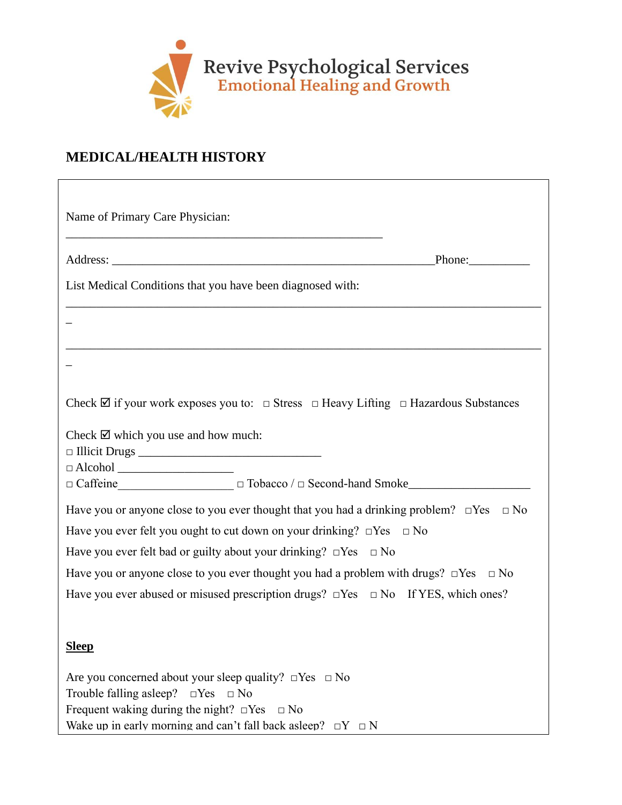

# **MEDICAL/HEALTH HISTORY**

| List Medical Conditions that you have been diagnosed with:                                                                      |           |
|---------------------------------------------------------------------------------------------------------------------------------|-----------|
|                                                                                                                                 |           |
|                                                                                                                                 |           |
| Check $\boxtimes$ if your work exposes you to: $\Box$ Stress $\Box$ Heavy Lifting $\Box$ Hazardous Substances                   |           |
| Check $\boxtimes$ which you use and how much:                                                                                   |           |
|                                                                                                                                 |           |
|                                                                                                                                 |           |
|                                                                                                                                 |           |
| Have you or anyone close to you ever thought that you had a drinking problem? $\Box$ Yes $\Box$ No                              |           |
| Have you ever felt you ought to cut down on your drinking? $\square$ Yes $\square$ No                                           |           |
| Have you ever felt bad or guilty about your drinking? $\Box$ Yes $\Box$ No                                                      |           |
| Have you or anyone close to you ever thought you had a problem with drugs? $\Box$ Yes                                           | $\Box$ No |
| Have you ever abused or misused prescription drugs? $\Box$ Yes $\Box$ No If YES, which ones?                                    |           |
| <u>Sleep</u>                                                                                                                    |           |
| Are you concerned about your sleep quality? $\Box$ Yes $\Box$ No                                                                |           |
| Trouble falling asleep?<br>$\Box$ Yes<br>$\Box$ No                                                                              |           |
| Frequent waking during the night? $\Box$ Yes $\Box$ No<br>Wake up in early morning and can't fall back as leep? $\Box Y \Box N$ |           |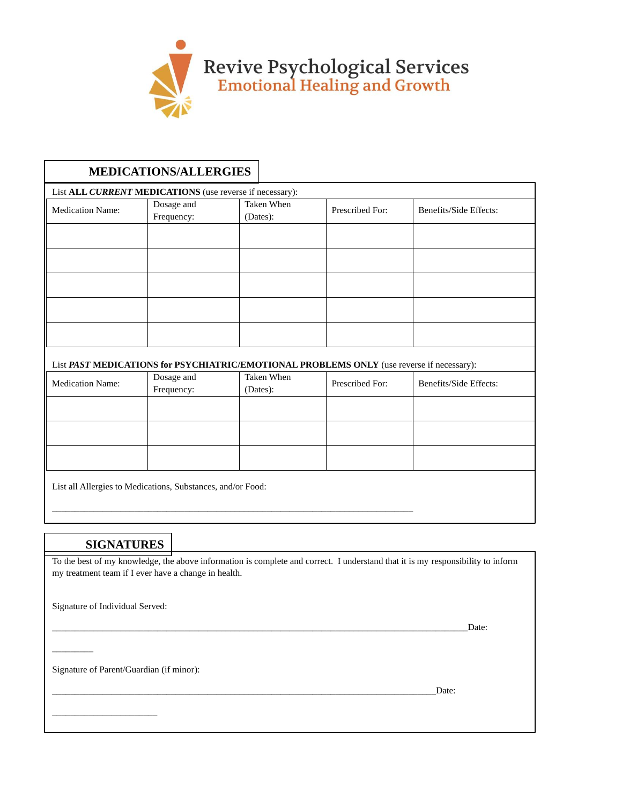

# **MEDICATIONS/ALLERGIES**

| List ALL CURRENT MEDICATIONS (use reverse if necessary):                                   |                          |                        |                 |                        |
|--------------------------------------------------------------------------------------------|--------------------------|------------------------|-----------------|------------------------|
| <b>Medication Name:</b>                                                                    | Dosage and<br>Frequency: | Taken When<br>(Dates): | Prescribed For: | Benefits/Side Effects: |
|                                                                                            |                          |                        |                 |                        |
|                                                                                            |                          |                        |                 |                        |
|                                                                                            |                          |                        |                 |                        |
|                                                                                            |                          |                        |                 |                        |
|                                                                                            |                          |                        |                 |                        |
| List DA CT MEDICATIONS for DSVCHLATDIC/EMOTIONAL DDODLEMS ONLY (1100 rouges if negossory): |                          |                        |                 |                        |

| LIST PAST MEDICATIONS FOR PSYCHIATRIC/EMOTIONAL PROBLEMS ONLY (USE FEVERSE IT RECESSARY): |                          |                        |                 |                        |
|-------------------------------------------------------------------------------------------|--------------------------|------------------------|-----------------|------------------------|
| <b>Medication Name:</b>                                                                   | Dosage and<br>Frequency: | Taken When<br>(Dates): | Prescribed For: | Benefits/Side Effects: |
|                                                                                           |                          |                        |                 |                        |
|                                                                                           |                          |                        |                 |                        |
|                                                                                           |                          |                        |                 |                        |
| List all Allergies to Medications, Substances, and/or Food:                               |                          |                        |                 |                        |

### **SIGNATURES**

To the best of my knowledge, the above information is complete and correct. I understand that it is my responsibility to inform my treatment team if I ever have a change in health.

L

\_\_\_\_\_\_\_\_\_\_\_\_\_\_\_\_\_\_\_\_\_\_\_\_\_\_\_\_\_\_\_\_\_\_\_\_\_\_\_\_\_\_\_\_\_\_\_\_\_\_\_\_\_\_\_\_\_\_\_\_\_\_\_\_\_\_\_\_\_\_\_\_\_\_\_\_\_\_\_

Signature of Individual Served:

\_\_\_\_\_\_\_\_\_\_\_\_\_\_\_\_\_\_\_\_\_\_\_

\_\_\_\_\_\_\_\_\_

 $\blacksquare$ 

Signature of Parent/Guardian (if minor):

\_\_\_\_\_\_\_\_\_\_\_\_\_\_\_\_\_\_\_\_\_\_\_\_\_\_\_\_\_\_\_\_\_\_\_\_\_\_\_\_\_\_\_\_\_\_\_\_\_\_\_\_\_\_\_\_\_\_\_\_\_\_\_\_\_\_\_\_\_\_\_\_\_\_\_\_\_\_\_\_\_\_\_\_Date: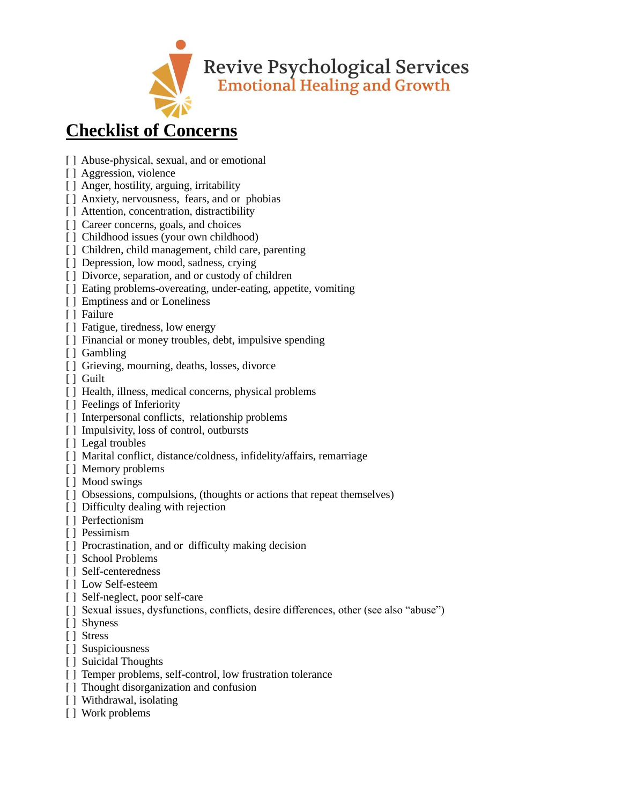

# **Checklist of Concerns**

- [ ] Abuse-physical, sexual, and or emotional
- [ ] Aggression, violence
- [] Anger, hostility, arguing, irritability
- [ ] Anxiety, nervousness, fears, and or phobias
- [] Attention, concentration, distractibility
- [ ] Career concerns, goals, and choices
- [ ] Childhood issues (your own childhood)
- [ ] Children, child management, child care, parenting
- [ ] Depression, low mood, sadness, crying
- [] Divorce, separation, and or custody of children
- [] Eating problems-overeating, under-eating, appetite, vomiting
- [] Emptiness and or Loneliness
- [ ] Failure
- [ ] Fatigue, tiredness, low energy
- [] Financial or money troubles, debt, impulsive spending
- [ ] Gambling
- [ ] Grieving, mourning, deaths, losses, divorce
- [ ] Guilt
- [] Health, illness, medical concerns, physical problems
- [ ] Feelings of Inferiority
- [ ] Interpersonal conflicts, relationship problems
- [ ] Impulsivity, loss of control, outbursts
- [ ] Legal troubles
- [] Marital conflict, distance/coldness, infidelity/affairs, remarriage
- [ ] Memory problems
- [ ] Mood swings
- [ ] Obsessions, compulsions, (thoughts or actions that repeat themselves)
- [ ] Difficulty dealing with rejection
- [ ] Perfectionism
- [ ] Pessimism
- [ ] Procrastination, and or difficulty making decision
- [ ] School Problems
- [ ] Self-centeredness
- [ ] Low Self-esteem
- [] Self-neglect, poor self-care
- [ ] Sexual issues, dysfunctions, conflicts, desire differences, other (see also "abuse")
- [ ] Shyness
- [ ] Stress
- [ ] Suspiciousness
- [ ] Suicidal Thoughts
- [] Temper problems, self-control, low frustration tolerance
- [] Thought disorganization and confusion
- [] Withdrawal, isolating
- [ ] Work problems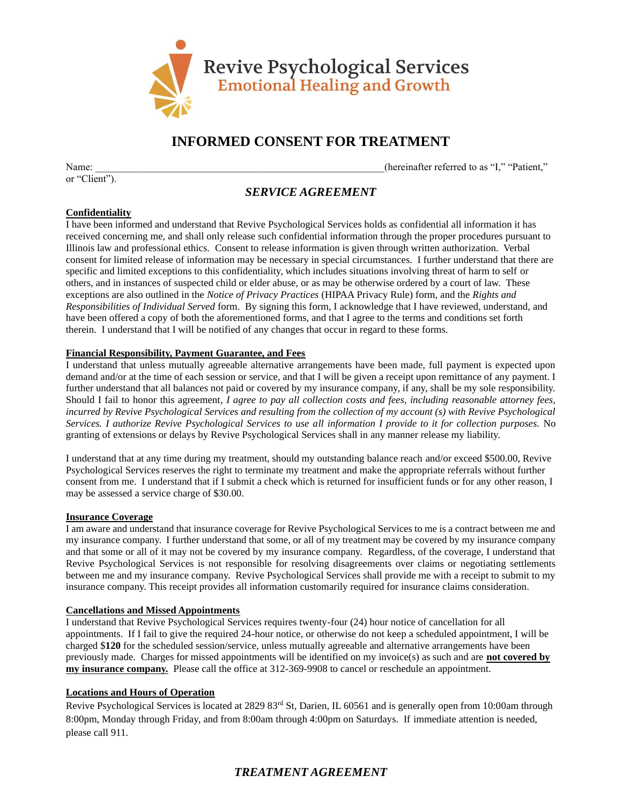

# **INFORMED CONSENT FOR TREATMENT**

or "Client").

Name:  $\blacksquare$  (hereinafter referred to as "I," "Patient,"

# *SERVICE AGREEMENT*

#### **Confidentiality**

I have been informed and understand that Revive Psychological Services holds as confidential all information it has received concerning me, and shall only release such confidential information through the proper procedures pursuant to Illinois law and professional ethics. Consent to release information is given through written authorization. Verbal consent for limited release of information may be necessary in special circumstances. I further understand that there are specific and limited exceptions to this confidentiality, which includes situations involving threat of harm to self or others, and in instances of suspected child or elder abuse, or as may be otherwise ordered by a court of law. These exceptions are also outlined in the *Notice of Privacy Practices* (HIPAA Privacy Rule) form, and the *Rights and Responsibilities of Individual Served* form. By signing this form, I acknowledge that I have reviewed, understand, and have been offered a copy of both the aforementioned forms, and that I agree to the terms and conditions set forth therein. I understand that I will be notified of any changes that occur in regard to these forms.

#### **Financial Responsibility, Payment Guarantee, and Fees**

I understand that unless mutually agreeable alternative arrangements have been made, full payment is expected upon demand and/or at the time of each session or service, and that I will be given a receipt upon remittance of any payment. I further understand that all balances not paid or covered by my insurance company, if any, shall be my sole responsibility. Should I fail to honor this agreement*, I agree to pay all collection costs and fees, including reasonable attorney fees, incurred by Revive Psychological Services and resulting from the collection of my account (s) with Revive Psychological Services. I authorize Revive Psychological Services to use all information I provide to it for collection purposes.* No granting of extensions or delays by Revive Psychological Services shall in any manner release my liability.

I understand that at any time during my treatment, should my outstanding balance reach and/or exceed \$500.00, Revive Psychological Services reserves the right to terminate my treatment and make the appropriate referrals without further consent from me. I understand that if I submit a check which is returned for insufficient funds or for any other reason, I may be assessed a service charge of \$30.00.

#### **Insurance Coverage**

I am aware and understand that insurance coverage for Revive Psychological Services to me is a contract between me and my insurance company. I further understand that some, or all of my treatment may be covered by my insurance company and that some or all of it may not be covered by my insurance company. Regardless, of the coverage, I understand that Revive Psychological Services is not responsible for resolving disagreements over claims or negotiating settlements between me and my insurance company. Revive Psychological Services shall provide me with a receipt to submit to my insurance company. This receipt provides all information customarily required for insurance claims consideration.

#### **Cancellations and Missed Appointments**

I understand that Revive Psychological Services requires twenty-four (24) hour notice of cancellation for all appointments. If I fail to give the required 24-hour notice, or otherwise do not keep a scheduled appointment, I will be charged \$**120** for the scheduled session/service, unless mutually agreeable and alternative arrangements have been previously made. Charges for missed appointments will be identified on my invoice(s) as such and are **not covered by my insurance company.** Please call the office at 312-369-9908 to cancel or reschedule an appointment.

#### **Locations and Hours of Operation**

Revive Psychological Services is located at 2829 83<sup>rd</sup> St, Darien, IL 60561 and is generally open from 10:00am through 8:00pm, Monday through Friday, and from 8:00am through 4:00pm on Saturdays. If immediate attention is needed, please call 911.

### *TREATMENT AGREEMENT*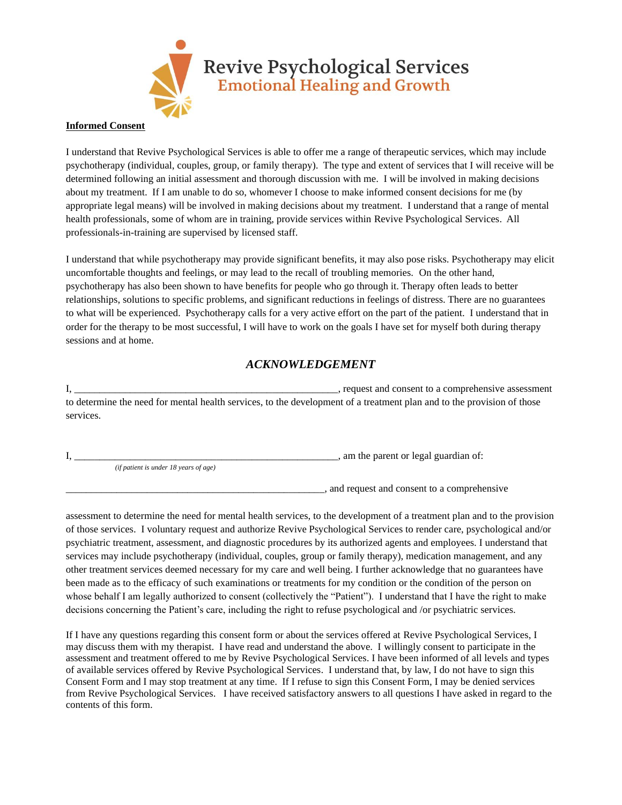

#### **Informed Consent**

I understand that Revive Psychological Services is able to offer me a range of therapeutic services, which may include psychotherapy (individual, couples, group, or family therapy). The type and extent of services that I will receive will be determined following an initial assessment and thorough discussion with me. I will be involved in making decisions about my treatment. If I am unable to do so, whomever I choose to make informed consent decisions for me (by appropriate legal means) will be involved in making decisions about my treatment. I understand that a range of mental health professionals, some of whom are in training, provide services within Revive Psychological Services. All professionals-in-training are supervised by licensed staff.

I understand that while psychotherapy may provide significant benefits, it may also pose risks. Psychotherapy may elicit uncomfortable thoughts and feelings, or may lead to the recall of troubling memories. On the other hand, psychotherapy has also been shown to have benefits for people who go through it. Therapy often leads to better relationships, solutions to specific problems, and significant reductions in feelings of distress. There are no guarantees to what will be experienced. Psychotherapy calls for a very active effort on the part of the patient. I understand that in order for the therapy to be most successful, I will have to work on the goals I have set for myself both during therapy sessions and at home.

### *ACKNOWLEDGEMENT*

I, request and consent to a comprehensive assessment to determine the need for mental health services, to the development of a treatment plan and to the provision of those services.

 $\lambda$ , am the parent or legal guardian of:

*(if patient is under 18 years of age)*

\_\_\_\_\_\_\_\_\_\_\_\_\_\_\_\_\_\_\_\_\_\_\_\_\_\_\_\_\_\_\_\_\_\_\_\_\_\_\_\_\_\_\_\_\_\_\_\_\_\_\_, and request and consent to a comprehensive

assessment to determine the need for mental health services, to the development of a treatment plan and to the provision of those services. I voluntary request and authorize Revive Psychological Services to render care, psychological and/or psychiatric treatment, assessment, and diagnostic procedures by its authorized agents and employees. I understand that services may include psychotherapy (individual, couples, group or family therapy), medication management, and any other treatment services deemed necessary for my care and well being. I further acknowledge that no guarantees have been made as to the efficacy of such examinations or treatments for my condition or the condition of the person on whose behalf I am legally authorized to consent (collectively the "Patient"). I understand that I have the right to make decisions concerning the Patient's care, including the right to refuse psychological and /or psychiatric services.

If I have any questions regarding this consent form or about the services offered at Revive Psychological Services, I may discuss them with my therapist. I have read and understand the above. I willingly consent to participate in the assessment and treatment offered to me by Revive Psychological Services. I have been informed of all levels and types of available services offered by Revive Psychological Services. I understand that, by law, I do not have to sign this Consent Form and I may stop treatment at any time. If I refuse to sign this Consent Form, I may be denied services from Revive Psychological Services. I have received satisfactory answers to all questions I have asked in regard to the contents of this form.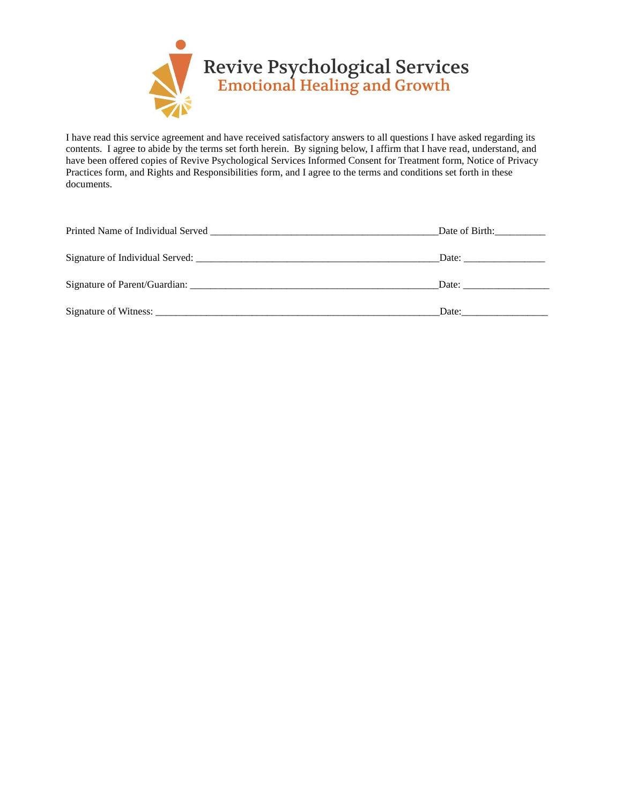

I have read this service agreement and have received satisfactory answers to all questions I have asked regarding its contents. I agree to abide by the terms set forth herein. By signing below, I affirm that I have read, understand, and have been offered copies of Revive Psychological Services Informed Consent for Treatment form, Notice of Privacy Practices form, and Rights and Responsibilities form, and I agree to the terms and conditions set forth in these documents.

| Printed Name of Individual Served <b>Container and Container and Container</b> Printed Name of Individual Served | Date of Birth:                                                                                                                                                                                                                 |
|------------------------------------------------------------------------------------------------------------------|--------------------------------------------------------------------------------------------------------------------------------------------------------------------------------------------------------------------------------|
|                                                                                                                  | Date: the contract of the contract of the contract of the contract of the contract of the contract of the contract of the contract of the contract of the contract of the contract of the contract of the contract of the cont |
| Signature of Parent/Guardian:                                                                                    | Date: the contract of the contract of the contract of the contract of the contract of the contract of the contract of the contract of the contract of the contract of the contract of the contract of the contract of the cont |
|                                                                                                                  | Date:                                                                                                                                                                                                                          |